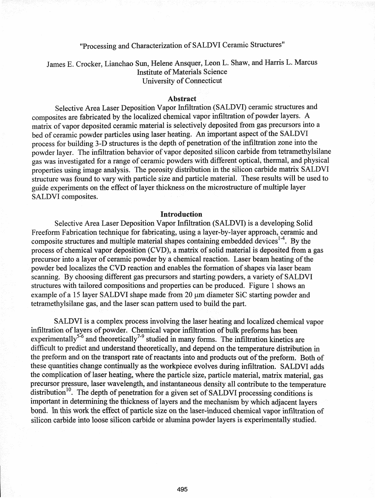# "Processing and Characterization of SALDVI Ceramic Structures"

James E. Crocker, Lianchao Sun, Helene Ansquer, Leon L. Shaw, and Harris L. Marcus Institute of Materials Science University of Connecticut

## Abstract

Selective Area Laser Deposition Vapor Infiltration (SALDVI) ceramic structures and composites are fabricated by the localized chemical vapor infiltration of powder layers. A matrix of vapor deposited ceramic material is selectively deposited from gas precursors into a bed of ceramic powder particles using laser heating. An important aspect of the SALDVI process for building 3-D structures is the depth of penetration of the infiltration zone into the powder layer. The infiltration behavior of vapor deposited silicon carbide from tetramethylsilane gas was investigated for a range of ceramic powders with different optical, thermal, and physical properties using image analysis. The porosity distribution in the silicon carbide matrix SALDVI structure was found to vary with particle size and particle material. These results will be used to guide experiments on the effect of layer thickness on the microstructure of multiple layer SALDVI composites.

## Introduction

Selective Area Laser Deposition Vapor Infiltration (SALDVI) is a developing Solid Freeform Fabrication technique for fabricating, using a layer-by-Iayer approach, ceramic and composite structures and multiple material shapes containing embedded devices<sup>1-4</sup>. By the process of chemical vapor deposition (CVD), a matrix of solid material is deposited from a gas precursor into a layer of ceramic powder by a chemical reaction. Laser beam heating of the powder bed localizes the CVD reaction and enables the formation of shapes via laser beam scanning. By choosing different gas precursors and starting powders, a variety of SALDVI structures with tailored compositions andproperties can be produced. Figure 1 shows an example of a 15 layer SALDVI shape made from 20  $\mu$ m diameter SiC starting powder and tetramethylsilane gas, and the laser scan pattern used to build the part.

SALDVI is a complex process involving the laser heating and localized chemical vapor infiltration of layers of powder. Chemical vapor infiltration of bulk preforms has been experimentally<sup>5-6</sup> and theoretically<sup>7-9</sup> studied in many forms. The infiltration kinetics are difficult to predict and understand theoretically, and depend on the temperature distribution in the preform and on the transport rate of reactants into and products out of the preform. Both of these quantities change continually as the workpiece evolves during infiltration. SALDVI adds the complication of laser heating, where the particle size, particle material, matrix material, gas precursor pressure, laser wavelength, and instantaneous density all contribute to the temperature distribution<sup>10</sup>. The depth of penetration for a given set of SALDVI processing conditions is important in determining the thickness of layers and the mechanism by which adjacent layers bond. In this work the effect of particle size on the laser-induced chemical vapor infiltration of silicon carbide into loose silicon carbide or alumina powder layers is experimentally studied.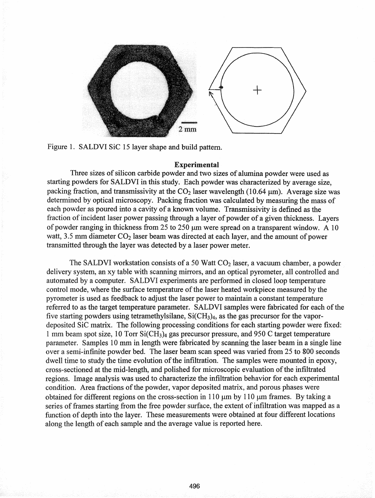



## Experimental

Three sizes of silicon carbide powder and two sizes of alumina powder were used as starting powders for SALDVI in this study. Each powder was characterized by average size, packing fraction, and transmissivity at the  $CO<sub>2</sub>$  laser wavelength (10.64 µm). Average size was determined by optical microscopy. Packing fraction was calculated by measuring the mass of each powder as poured into a cavity of a known volume. Transmissivity is defmed as the fraction of incident laser power passing through a layer of powder of a given thickness. Layers of powder ranging in thickness from 25 to 250  $\mu$ m were spread on a transparent window. A 10 watt, 3.5 mm diameter  $CO<sub>2</sub>$  laser beam was directed at each layer, and the amount of power transmitted through the layer was detected by a laser power meter.

The SALDVI workstation consists of a 50 Watt  $CO<sub>2</sub>$  laser, a vacuum chamber, a powder delivery system, an xy table with scanning mirrors, and an optical pyrometer, all controlled and automated by a computer. SALDVI experiments are performed in closed loop temperature control mode, where the surface temperature of the laser heated workpiece measured by the pyrometer is used as feedback to adjust the laser power to maintain a constant temperature referred to as the target temperature parameter. SALDVI samples were fabricated for each of the five starting powders using tetramethylsilane,  $SiCH<sub>3</sub>$ , as the gas precursor for the vapordeposited SiC matrix. The following processing conditions for each starting powder were fixed: 1 mm beam spot size, 10 Torr  $SiCH_3$ ) gas precursor pressure, and 950 C target temperature parameter. Samples 10 mm in length were fabricated by scanning the laser beam in a single over a semi-infinite powder bed. The laser beam scan speed was varied from 25 to 800 seconds dwell time to study the time evolution of the infiltration. The samples were mounted in epoxy, cross-sectioned at the mid-length, and polished for microscopic evaluation ofthe infiltrated regions. Image analysis was used to characterize the infiltration behavior for each experimental condition. Area fractions of the powder, vapor deposited matrix, and porous phases were obtained for different regions on the cross-section in 110  $\mu$ m by 110  $\mu$ m frames. By taking a series of frames starting from the free powder surface, the extent of infiltration was mapped as a function of depth into the layer. These measurements were obtained at four different locations along the length of each sample and the average value is reported here.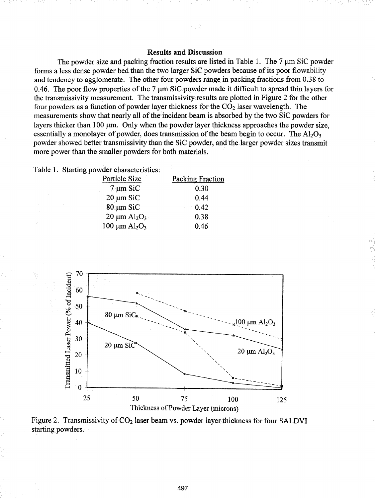## Results and Discussion

The powder size and packing fraction results are listed in Table 1. The  $7 \mu m$  SiC powder forms a less dense powder bed than the two larger SiC powders because ofits poor flowability and tendency to agglomerate. The other four powders range in packing fractions from 0.38 to 0.46. The poor flow properties of the 7  $\mu$ m SiC powder made it difficult to spread thin layers for the transmissivity measurement. The transmissivity results are plotted in Figure 2 for the other four powders as a function of powder layer thickness for the  $CO<sub>2</sub>$  laser wavelength. The measurements show that nearly all of the incident beam is absorbed by the two SiC powders for layers thicker than 100  $\mu$ m. Only when the powder layer thickness approaches the powder size, essentially a monolayer of powder, does transmission of the beam begin to occur. The  $A<sub>1</sub>Q<sub>3</sub>$ powder showed better transmissivity than the SiC powder, and the larger powder sizes transmit more power than the smaller powders for both materials.

|  |  | Table 1. Starting powder characteristics: |
|--|--|-------------------------------------------|
|  |  |                                           |

| <b>Particle Size</b>              | <b>Packing Fraction</b> |
|-----------------------------------|-------------------------|
| $7 \mu m$ SiC                     | 0.30                    |
| $20 \mu m$ SiC                    | 0.44                    |
| $80 \mu m$ SiC                    | 0.42                    |
| $20 \mu m \text{ Al}_2\text{O}_3$ | 0.38                    |
| $100 \mu m \, Al_2O_3$            | 0.46                    |



Figure 2. Transmissivity of  $CO<sub>2</sub>$  laser beam vs. powder layer thickness for four SALDVI starting powders.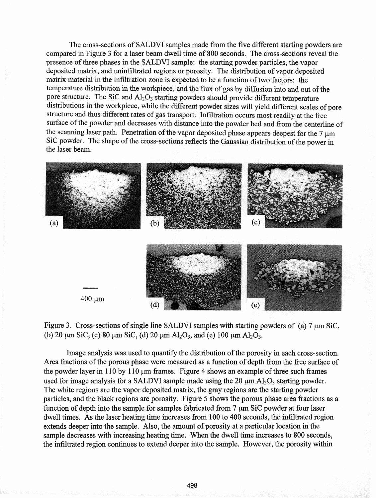The cross-sections of SALDVI samples made from the five different starting powders are compared in Figure 3 for a laser beam dwell time of 800 seconds. The cross-sections reveal the presence of three phases in the SALDVI sample: the starting powder particles, the vapor deposited matrix, and uninfiltrated regions or porosity. The distribution of vapor deposited matrix material in the infiltration zone is expected to be a function of two factors: the temperature distribution in the workpiece, and the flux of gas by diffusion into and out of the pore structure. The SiC and Al<sub>2</sub>O<sub>3</sub> starting powders should provide different temperature distributions in the workpiece, while the different powder sizes will yield different scales of pore structure and thus different rates of gas transport. Infiltration occurs most readily at the free surface of the powder and decreases with distance into the powder bed and from the centerline of the scanning laser path. Penetration of the vapor deposited phase appears deepest for the 7 um SiC powder. The shape of the cross-sections reflects the Gaussian distribution of the power in the laser beam.



Figure 3. Cross-sections of single line SALDVI samples with starting powders of (a)  $7 \mu m$  SiC, (b) 20  $\mu$ m SiC, (c) 80  $\mu$ m SiC, (d) 20  $\mu$ m Al<sub>2</sub>O<sub>3</sub>, and (e) 100  $\mu$ m Al<sub>2</sub>O<sub>3</sub>.

Image analysis was used to quantify the distribution of the porosity in each cross-section. Area fractions of the porous phase were measured as a function of depth from the free surface of the powder layer in 110 by 110  $\mu$ m frames. Figure 4 shows an example of three such frames used for image analysis for a SALDVI sample made using the 20  $\mu$ m Al<sub>2</sub>O<sub>3</sub> starting powder. The white regions are the vapor deposited matrix, the gray regions are the starting powder particles, and the black regions are porosity. Figure 5 shows the porous phase area fractions as a function of depth into the sample for samples fabricated from  $7 \mu m$  SiC powder at four laser dwell times. As the laser heating time increases from 100 to 400 seconds, the infiltrated region extends deeper into the sample. Also, the amount of porosity at a particular location in the sample decreases with increasing heating time. When the dwell time increases to 800 seconds, the infiltrated region continues to extend deeper into the sample. However, the porosity within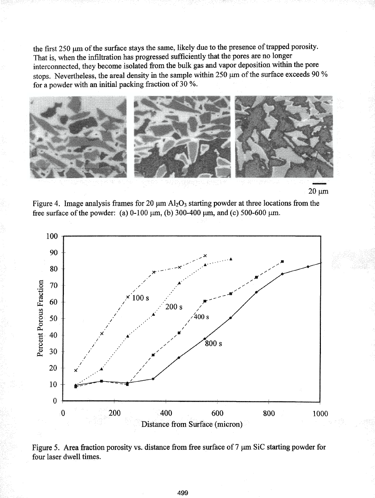the first 250 µm of the surface stays the same, likely due to the presence of trapped porosity. That is, when the infiltration has progressed sufficiently that the pores are no longer interconnected, they become isolated from the bulk gas and vapor deposition within the pore stops. Nevertheless, the areal density in the sample within 250  $\mu$ m of the surface exceeds 90 % for a powder with an initial packing fraction of 30 %.





Figure 4. Image analysis frames for 20  $\mu$ m Al<sub>2</sub>O<sub>3</sub> starting powder at three locations from the free surface of the powder: (a) 0-100  $\mu$ m, (b) 300-400  $\mu$ m, and (c) 500-600  $\mu$ m.



Figure 5. Area fraction porosity vs. distance from free surface of  $7 \mu m$  SiC starting powder for four laser dwell times.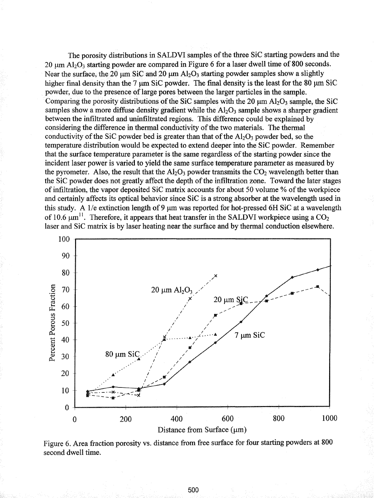The porosity distributions in SALDVI samples of the three SiC starting powders and the 20  $\mu$ m Al<sub>2</sub>O<sub>3</sub> starting powder are compared in Figure 6 for a laser dwell time of 800 seconds. Near the surface, the 20  $\mu$ m SiC and 20  $\mu$ m Al<sub>2</sub>O<sub>3</sub> starting powder samples show a slightly higher final density than the 7  $\mu$ m SiC powder. The final density is the least for the 80  $\mu$ m SiC powder, due to the presence of large pores between the larger particles in the sample. Comparing the porosity distributions of the SiC samples with the 20  $\mu$ m Al<sub>2</sub>O<sub>3</sub> sample, the SiC samples show a more diffuse density gradient while the  $A1_2O_3$  sample shows a sharper gradient between the infiltrated and uninfiltrated regions. This difference could be explained by considering the difference in thermal conductivity of the two materials. The thermal conductivity of the SiC powder bed is greater than that of the  $A<sub>1</sub>O<sub>3</sub>$  powder bed, so the temperature distribution would be expected to extend deeper into the SiC powder. Remember that the surface temperature parameter is the same regardless of the starting powder since the incident laser power is varied to yield the same surface temperature parameter as measured by the pyrometer. Also, the result that the  $Al_2O_3$  powder transmits the  $CO_2$  wavelength better than the SiC powder does not greatly affect the depth of the infiltration zone. Toward the later stages of infiltration, the vapor deposited SiC matrix accounts for about 50 volume % of the workpiece and certainly affects its optical behavior since SiC is a strong absorber at the wavelength used in this study. A 1/e extinction length of 9  $\mu$ m was reported for hot-pressed 6H SiC at a wavelength of 10.6  $\mu$ m<sup>11</sup>. Therefore, it appears that heat transfer in the SALDVI workpiece using a CO<sub>2</sub> laser and SiC matrix is by laser heating near the surface and by thermal conduction elsewhere.



Figure 6. Area fraction porosity vs. distance from free surface for four starting powders at 800 second dwell time.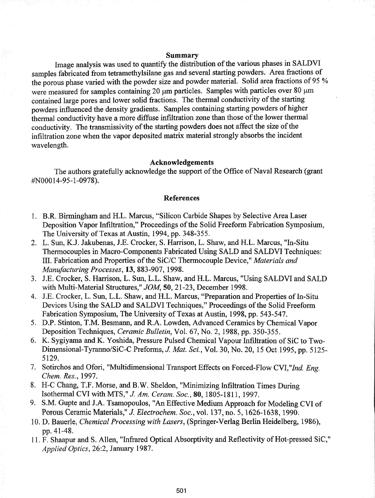## Summary

Image analysis was used to quantify the distribution of the various phases in SALDVI samples fabricated from tetramethylsilane gas and several starting powders. Area fractions of the porous phase varied with the powder size and powder material. Solid area fractions of 95 % were measured for samples containing 20 um particles. Samples with particles over 80 um contained large pores and lower solid fractions. The thermal conductivity of the starting powders influenced the density gradients. Samples containing starting powders of higher thermal conductivity have a more diffuse infiltration zone than those of the lower thermal conductivity. The transmissivity of the starting powders does not affect the size of the infiltration zone when the vapor deposited matrix material strongly absorbs the incident wavelength.

## Acknowledgements

The authors gratefully acknowledge the support of the Office of Naval Research (grant #NOOO 14-95-1-0978).

#### References

- 1. B.R. Birmingham and H.L. Marcus, "Silicon Carbide Shapes by Selective Area Laser Deposition Vapor Infiltration," Proceedings of the Solid Freeform Fabrication Symposium, The University of Texas at Austin, 1994, pp. 348-355.
- 2. L. Sun, KJ. Jakubenas, J.E. Crocker, S. Harrison, L. Shaw, and H.L. Marcus, "In-Situ Thermocouples in Macro-Components Fabricated Using SALD and SALDVI Techniques: III. Fabrication and Properties of the *SiC/C* Thermocouple Device," *Materials and Manufacturing Processes,* 13, 883-907, 1998.
- 3. J.E. Crocker, S. Harrison, L. Sun, L.L. Shaw, and H.L. Marcus, "Using SALDVI and SALD with Multi-Material Structures," *JOM,* 50, 21-23, December 1998.
- 4. J.E. Crocker, L. Sun, L.L. Shaw, and H.L. Marcus, "Preparation and Properties of In-Situ Devices Using the SALD and SALDVI Techniques," Proceedings of the Solid Freeform Fabrication Symposium, The University of Texas at Austin, 1998, pp. 543-547.
- 5. D.P. Stinton, T.M. Besmann, and RA. Lowden, Advanced Ceramics by Chemical Vapor Deposition Techniques, *Ceramic Bulletin,* Vol. 67, No.2, 1988, pp. 350-355.
- 6. K. Sygiyama and K. Yoshida, Pressure Pulsed Chemical Vapour Infiltration of SiC to Two-Dimensional-Tyranno/SiC-C Preforms, *J. Mat. Sci.,* Vol. 30, No. 20, 15 Oct 1995, pp. 5125- 5129.
- 7. Sotirchos and Ofori, "Multidimensional Transport Effects on Forced-Flow *CVI,"Ind. Eng. Chem. Res.,* 1997.
- 8. H-C Chang, T.F. Morse, and B.W. Sheldon, "Minimizing Infiltration Times During Isothermal CVI with MTS," *J. Am. Ceram. Soc.,* SO, 1805-1811, 1997.
- 9. S.M. Gupte and J.A. Tsamopoulos, "An Effective Medium Approach for Modeling CVI of Porous Ceramic Materials," J. *Electrochem. Soc.,* vol. 137, no. 5, 1626-1638, 1990.
- 10. D. Bauerle, *Chemical Processing with Lasers,* (Spririger..Verlag Berlin Heidelberg, 1986), pp.41-48.
- 11. F. Shaapur and S. Allen, "Infrared Optical Absorptivity and Reflectivity of Hot-pressed SiC," *Applied Optics,* 26:2, January 1987.